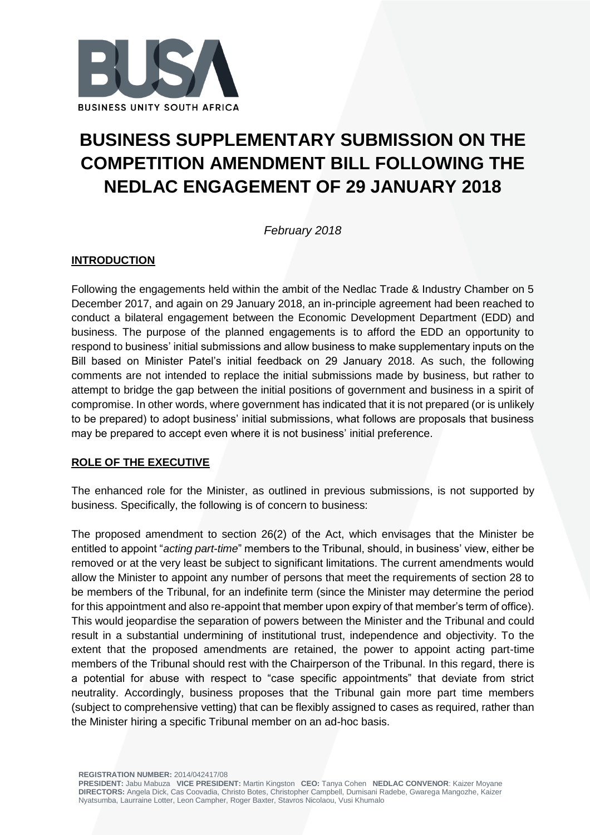

# **BUSINESS SUPPLEMENTARY SUBMISSION ON THE COMPETITION AMENDMENT BILL FOLLOWING THE NEDLAC ENGAGEMENT OF 29 JANUARY 2018**

*February 2018*

## **INTRODUCTION**

Following the engagements held within the ambit of the Nedlac Trade & Industry Chamber on 5 December 2017, and again on 29 January 2018, an in-principle agreement had been reached to conduct a bilateral engagement between the Economic Development Department (EDD) and business. The purpose of the planned engagements is to afford the EDD an opportunity to respond to business' initial submissions and allow business to make supplementary inputs on the Bill based on Minister Patel's initial feedback on 29 January 2018. As such, the following comments are not intended to replace the initial submissions made by business, but rather to attempt to bridge the gap between the initial positions of government and business in a spirit of compromise. In other words, where government has indicated that it is not prepared (or is unlikely to be prepared) to adopt business' initial submissions, what follows are proposals that business may be prepared to accept even where it is not business' initial preference.

## **ROLE OF THE EXECUTIVE**

The enhanced role for the Minister, as outlined in previous submissions, is not supported by business. Specifically, the following is of concern to business:

The proposed amendment to section 26(2) of the Act, which envisages that the Minister be entitled to appoint "*acting part-time*" members to the Tribunal, should, in business' view, either be removed or at the very least be subject to significant limitations. The current amendments would allow the Minister to appoint any number of persons that meet the requirements of section 28 to be members of the Tribunal, for an indefinite term (since the Minister may determine the period for this appointment and also re-appoint that member upon expiry of that member's term of office). This would jeopardise the separation of powers between the Minister and the Tribunal and could result in a substantial undermining of institutional trust, independence and objectivity. To the extent that the proposed amendments are retained, the power to appoint acting part-time members of the Tribunal should rest with the Chairperson of the Tribunal. In this regard, there is a potential for abuse with respect to "case specific appointments" that deviate from strict neutrality. Accordingly, business proposes that the Tribunal gain more part time members (subject to comprehensive vetting) that can be flexibly assigned to cases as required, rather than the Minister hiring a specific Tribunal member on an ad-hoc basis.

**REGISTRATION NUMBER:** 2014/042417/08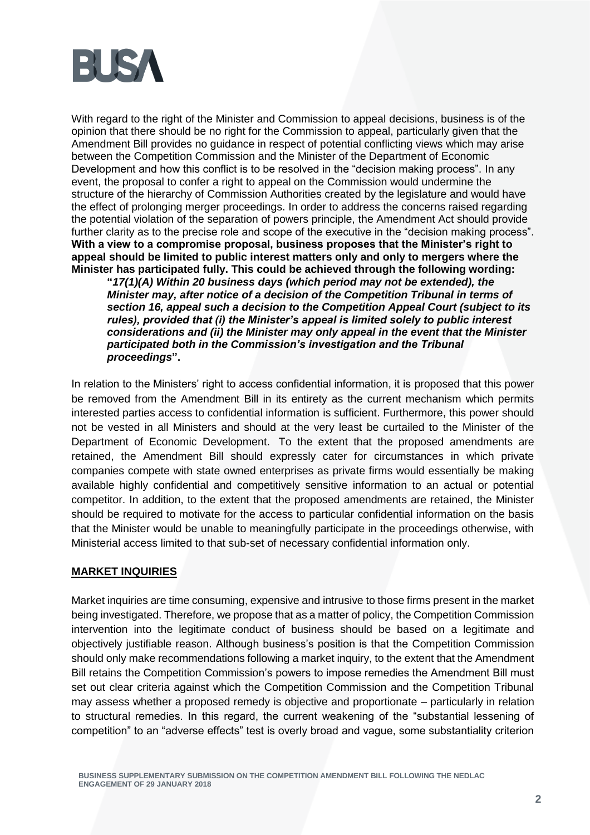

With regard to the right of the Minister and Commission to appeal decisions, business is of the opinion that there should be no right for the Commission to appeal, particularly given that the Amendment Bill provides no guidance in respect of potential conflicting views which may arise between the Competition Commission and the Minister of the Department of Economic Development and how this conflict is to be resolved in the "decision making process". In any event, the proposal to confer a right to appeal on the Commission would undermine the structure of the hierarchy of Commission Authorities created by the legislature and would have the effect of prolonging merger proceedings. In order to address the concerns raised regarding the potential violation of the separation of powers principle, the Amendment Act should provide further clarity as to the precise role and scope of the executive in the "decision making process". **With a view to a compromise proposal, business proposes that the Minister's right to appeal should be limited to public interest matters only and only to mergers where the Minister has participated fully. This could be achieved through the following wording:**

**"***17(1)(A) Within 20 business days (which period may not be extended), the Minister may, after notice of a decision of the Competition Tribunal in terms of section 16, appeal such a decision to the Competition Appeal Court (subject to its rules), provided that (i) the Minister's appeal is limited solely to public interest considerations and (ii) the Minister may only appeal in the event that the Minister participated both in the Commission's investigation and the Tribunal proceedings***".**

In relation to the Ministers' right to access confidential information, it is proposed that this power be removed from the Amendment Bill in its entirety as the current mechanism which permits interested parties access to confidential information is sufficient. Furthermore, this power should not be vested in all Ministers and should at the very least be curtailed to the Minister of the Department of Economic Development. To the extent that the proposed amendments are retained, the Amendment Bill should expressly cater for circumstances in which private companies compete with state owned enterprises as private firms would essentially be making available highly confidential and competitively sensitive information to an actual or potential competitor. In addition, to the extent that the proposed amendments are retained, the Minister should be required to motivate for the access to particular confidential information on the basis that the Minister would be unable to meaningfully participate in the proceedings otherwise, with Ministerial access limited to that sub-set of necessary confidential information only.

#### **MARKET INQUIRIES**

Market inquiries are time consuming, expensive and intrusive to those firms present in the market being investigated. Therefore, we propose that as a matter of policy, the Competition Commission intervention into the legitimate conduct of business should be based on a legitimate and objectively justifiable reason. Although business's position is that the Competition Commission should only make recommendations following a market inquiry, to the extent that the Amendment Bill retains the Competition Commission's powers to impose remedies the Amendment Bill must set out clear criteria against which the Competition Commission and the Competition Tribunal may assess whether a proposed remedy is objective and proportionate – particularly in relation to structural remedies. In this regard, the current weakening of the "substantial lessening of competition" to an "adverse effects" test is overly broad and vague, some substantiality criterion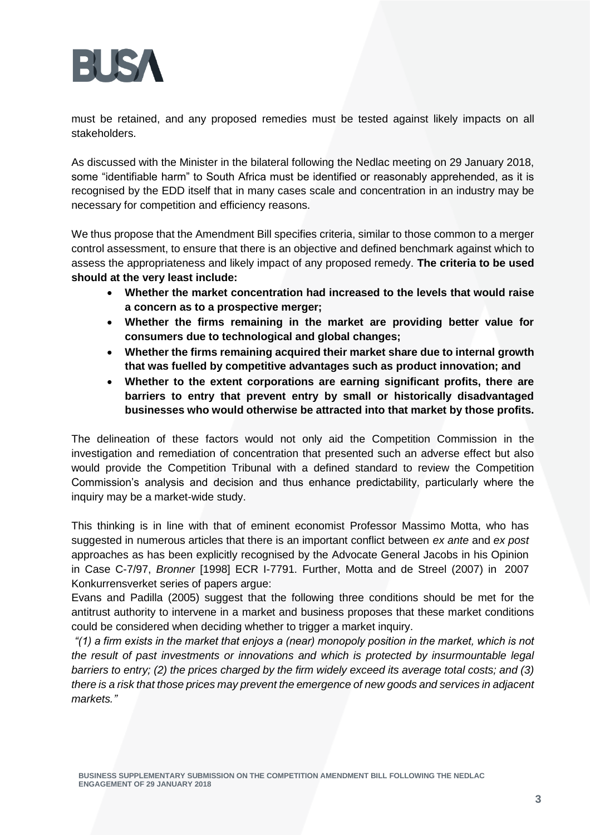

must be retained, and any proposed remedies must be tested against likely impacts on all stakeholders.

As discussed with the Minister in the bilateral following the Nedlac meeting on 29 January 2018, some "identifiable harm" to South Africa must be identified or reasonably apprehended, as it is recognised by the EDD itself that in many cases scale and concentration in an industry may be necessary for competition and efficiency reasons.

We thus propose that the Amendment Bill specifies criteria, similar to those common to a merger control assessment, to ensure that there is an objective and defined benchmark against which to assess the appropriateness and likely impact of any proposed remedy. **The criteria to be used should at the very least include:**

- **Whether the market concentration had increased to the levels that would raise a concern as to a prospective merger;**
- **Whether the firms remaining in the market are providing better value for consumers due to technological and global changes;**
- **Whether the firms remaining acquired their market share due to internal growth that was fuelled by competitive advantages such as product innovation; and**
- **Whether to the extent corporations are earning significant profits, there are barriers to entry that prevent entry by small or historically disadvantaged businesses who would otherwise be attracted into that market by those profits.**

The delineation of these factors would not only aid the Competition Commission in the investigation and remediation of concentration that presented such an adverse effect but also would provide the Competition Tribunal with a defined standard to review the Competition Commission's analysis and decision and thus enhance predictability, particularly where the inquiry may be a market-wide study.

This thinking is in line with that of eminent economist Professor Massimo Motta, who has suggested in numerous articles that there is an important conflict between *ex ante* and *ex post*  approaches as has been explicitly recognised by the Advocate General Jacobs in his Opinion in Case C-7/97, *Bronner* [1998] ECR I-7791. Further, Motta and de Streel (2007) in 2007 Konkurrensverket series of papers argue:

Evans and Padilla (2005) suggest that the following three conditions should be met for the antitrust authority to intervene in a market and business proposes that these market conditions could be considered when deciding whether to trigger a market inquiry.

*"(1) a firm exists in the market that enjoys a (near) monopoly position in the market, which is not the result of past investments or innovations and which is protected by insurmountable legal barriers to entry; (2) the prices charged by the firm widely exceed its average total costs; and (3) there is a risk that those prices may prevent the emergence of new goods and services in adjacent markets."*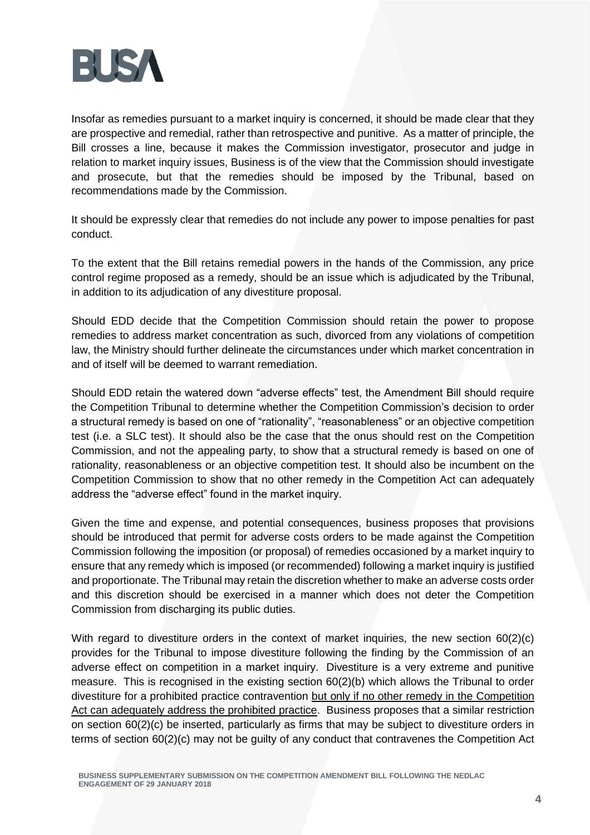

Insofar as remedies pursuant to a market inquiry is concerned, it should be made clear that they are prospective and remedial, rather than retrospective and punitive. As a matter of principle, the Bill crosses a line, because it makes the Commission investigator, prosecutor and judge in relation to market inquiry issues, Business is of the view that the Commission should investigate and prosecute, but that the remedies should be imposed by the Tribunal, based on recommendations made by the Commission.

It should be expressly clear that remedies do not include any power to impose penalties for past conduct.

To the extent that the Bill retains remedial powers in the hands of the Commission, any price control regime proposed as a remedy, should be an issue which is adjudicated by the Tribunal, in addition to its adjudication of any divestiture proposal.

Should EDD decide that the Competition Commission should retain the power to propose remedies to address market concentration as such, divorced from any violations of competition law, the Ministry should further delineate the circumstances under which market concentration in and of itself will be deemed to warrant remediation.

Should EDD retain the watered down "adverse effects" test, the Amendment Bill should require the Competition Tribunal to determine whether the Competition Commission's decision to order a structural remedy is based on one of "rationality", "reasonableness" or an objective competition test (i.e. a SLC test). It should also be the case that the onus should rest on the Competition Commission, and not the appealing party, to show that a structural remedy is based on one of rationality, reasonableness or an objective competition test. It should also be incumbent on the Competition Commission to show that no other remedy in the Competition Act can adequately address the "adverse effect" found in the market inquiry.

Given the time and expense, and potential consequences, business proposes that provisions should be introduced that permit for adverse costs orders to be made against the Competition Commission following the imposition (or proposal) of remedies occasioned by a market inquiry to ensure that any remedy which is imposed (or recommended) following a market inquiry is justified and proportionate. The Tribunal may retain the discretion whether to make an adverse costs order and this discretion should be exercised in a manner which does not deter the Competition Commission from discharging its public duties.

With regard to divestiture orders in the context of market inquiries, the new section 60(2)(c) provides for the Tribunal to impose divestiture following the finding by the Commission of an adverse effect on competition in a market inquiry. Divestiture is a very extreme and punitive measure. This is recognised in the existing section 60(2)(b) which allows the Tribunal to order divestiture for a prohibited practice contravention but only if no other remedy in the Competition Act can adequately address the prohibited practice. Business proposes that a similar restriction on section 60(2)(c) be inserted, particularly as firms that may be subject to divestiture orders in terms of section 60(2)(c) may not be guilty of any conduct that contravenes the Competition Act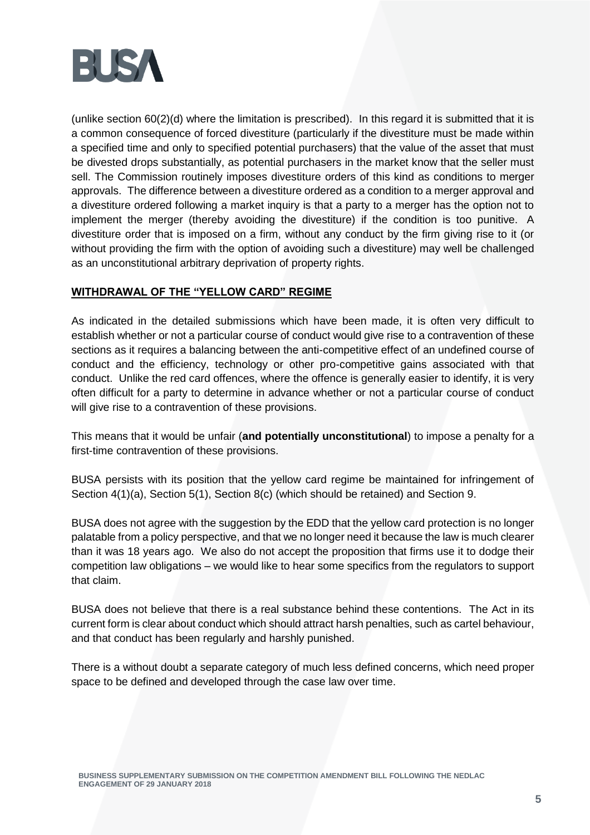

(unlike section 60(2)(d) where the limitation is prescribed). In this regard it is submitted that it is a common consequence of forced divestiture (particularly if the divestiture must be made within a specified time and only to specified potential purchasers) that the value of the asset that must be divested drops substantially, as potential purchasers in the market know that the seller must sell. The Commission routinely imposes divestiture orders of this kind as conditions to merger approvals. The difference between a divestiture ordered as a condition to a merger approval and a divestiture ordered following a market inquiry is that a party to a merger has the option not to implement the merger (thereby avoiding the divestiture) if the condition is too punitive. A divestiture order that is imposed on a firm, without any conduct by the firm giving rise to it (or without providing the firm with the option of avoiding such a divestiture) may well be challenged as an unconstitutional arbitrary deprivation of property rights.

### **WITHDRAWAL OF THE "YELLOW CARD" REGIME**

As indicated in the detailed submissions which have been made, it is often very difficult to establish whether or not a particular course of conduct would give rise to a contravention of these sections as it requires a balancing between the anti-competitive effect of an undefined course of conduct and the efficiency, technology or other pro-competitive gains associated with that conduct. Unlike the red card offences, where the offence is generally easier to identify, it is very often difficult for a party to determine in advance whether or not a particular course of conduct will give rise to a contravention of these provisions.

This means that it would be unfair (**and potentially unconstitutional**) to impose a penalty for a first-time contravention of these provisions.

BUSA persists with its position that the yellow card regime be maintained for infringement of Section 4(1)(a), Section 5(1), Section 8(c) (which should be retained) and Section 9.

BUSA does not agree with the suggestion by the EDD that the yellow card protection is no longer palatable from a policy perspective, and that we no longer need it because the law is much clearer than it was 18 years ago. We also do not accept the proposition that firms use it to dodge their competition law obligations – we would like to hear some specifics from the regulators to support that claim.

BUSA does not believe that there is a real substance behind these contentions. The Act in its current form is clear about conduct which should attract harsh penalties, such as cartel behaviour, and that conduct has been regularly and harshly punished.

There is a without doubt a separate category of much less defined concerns, which need proper space to be defined and developed through the case law over time.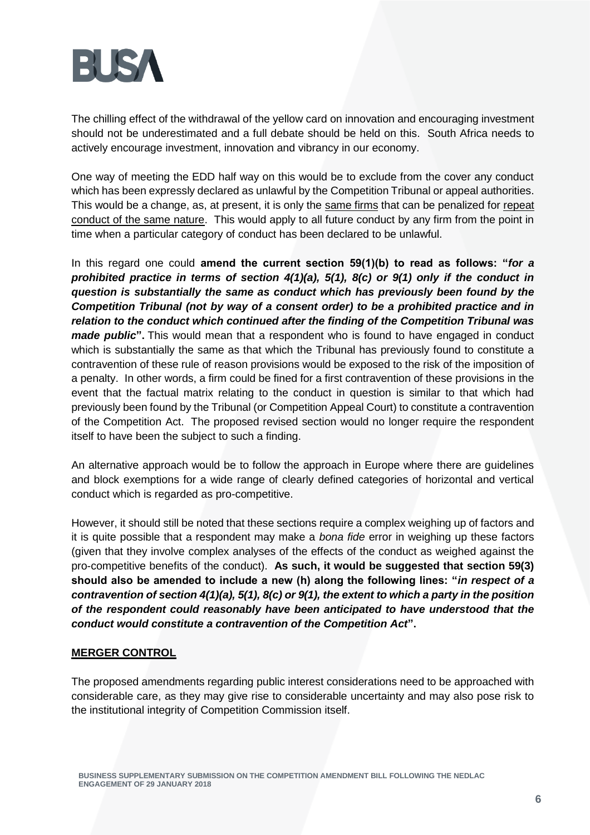

The chilling effect of the withdrawal of the yellow card on innovation and encouraging investment should not be underestimated and a full debate should be held on this. South Africa needs to actively encourage investment, innovation and vibrancy in our economy.

One way of meeting the EDD half way on this would be to exclude from the cover any conduct which has been expressly declared as unlawful by the Competition Tribunal or appeal authorities. This would be a change, as, at present, it is only the same firms that can be penalized for repeat conduct of the same nature. This would apply to all future conduct by any firm from the point in time when a particular category of conduct has been declared to be unlawful.

In this regard one could **amend the current section 59(1)(b) to read as follows: "***for a prohibited practice in terms of section 4(1)(a), 5(1), 8(c) or 9(1) only if the conduct in question is substantially the same as conduct which has previously been found by the Competition Tribunal (not by way of a consent order) to be a prohibited practice and in relation to the conduct which continued after the finding of the Competition Tribunal was made public***".** This would mean that a respondent who is found to have engaged in conduct which is substantially the same as that which the Tribunal has previously found to constitute a contravention of these rule of reason provisions would be exposed to the risk of the imposition of a penalty. In other words, a firm could be fined for a first contravention of these provisions in the event that the factual matrix relating to the conduct in question is similar to that which had previously been found by the Tribunal (or Competition Appeal Court) to constitute a contravention of the Competition Act. The proposed revised section would no longer require the respondent itself to have been the subject to such a finding.

An alternative approach would be to follow the approach in Europe where there are guidelines and block exemptions for a wide range of clearly defined categories of horizontal and vertical conduct which is regarded as pro-competitive.

However, it should still be noted that these sections require a complex weighing up of factors and it is quite possible that a respondent may make a *bona fide* error in weighing up these factors (given that they involve complex analyses of the effects of the conduct as weighed against the pro-competitive benefits of the conduct). **As such, it would be suggested that section 59(3) should also be amended to include a new (h) along the following lines: "***in respect of a contravention of section 4(1)(a), 5(1), 8(c) or 9(1), the extent to which a party in the position of the respondent could reasonably have been anticipated to have understood that the conduct would constitute a contravention of the Competition Act***".**

### **MERGER CONTROL**

The proposed amendments regarding public interest considerations need to be approached with considerable care, as they may give rise to considerable uncertainty and may also pose risk to the institutional integrity of Competition Commission itself.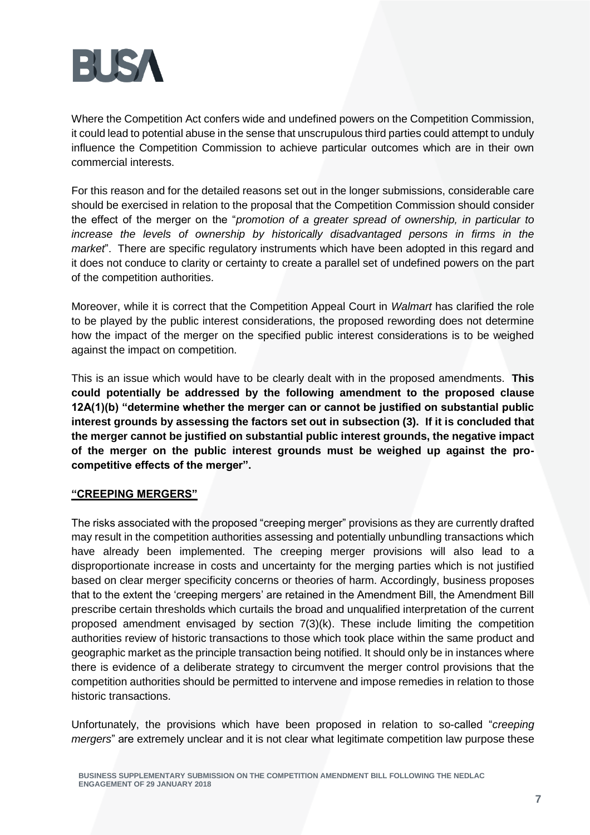

Where the Competition Act confers wide and undefined powers on the Competition Commission, it could lead to potential abuse in the sense that unscrupulous third parties could attempt to unduly influence the Competition Commission to achieve particular outcomes which are in their own commercial interests.

For this reason and for the detailed reasons set out in the longer submissions, considerable care should be exercised in relation to the proposal that the Competition Commission should consider the effect of the merger on the "*promotion of a greater spread of ownership, in particular to increase the levels of ownership by historically disadvantaged persons in firms in the market*". There are specific regulatory instruments which have been adopted in this regard and it does not conduce to clarity or certainty to create a parallel set of undefined powers on the part of the competition authorities.

Moreover, while it is correct that the Competition Appeal Court in *Walmart* has clarified the role to be played by the public interest considerations, the proposed rewording does not determine how the impact of the merger on the specified public interest considerations is to be weighed against the impact on competition.

This is an issue which would have to be clearly dealt with in the proposed amendments. **This could potentially be addressed by the following amendment to the proposed clause 12A(1)(b) "determine whether the merger can or cannot be justified on substantial public interest grounds by assessing the factors set out in subsection (3). If it is concluded that the merger cannot be justified on substantial public interest grounds, the negative impact of the merger on the public interest grounds must be weighed up against the procompetitive effects of the merger".**

### **"CREEPING MERGERS"**

The risks associated with the proposed "creeping merger" provisions as they are currently drafted may result in the competition authorities assessing and potentially unbundling transactions which have already been implemented. The creeping merger provisions will also lead to a disproportionate increase in costs and uncertainty for the merging parties which is not justified based on clear merger specificity concerns or theories of harm. Accordingly, business proposes that to the extent the 'creeping mergers' are retained in the Amendment Bill, the Amendment Bill prescribe certain thresholds which curtails the broad and unqualified interpretation of the current proposed amendment envisaged by section 7(3)(k). These include limiting the competition authorities review of historic transactions to those which took place within the same product and geographic market as the principle transaction being notified. It should only be in instances where there is evidence of a deliberate strategy to circumvent the merger control provisions that the competition authorities should be permitted to intervene and impose remedies in relation to those historic transactions.

Unfortunately, the provisions which have been proposed in relation to so-called "*creeping mergers*" are extremely unclear and it is not clear what legitimate competition law purpose these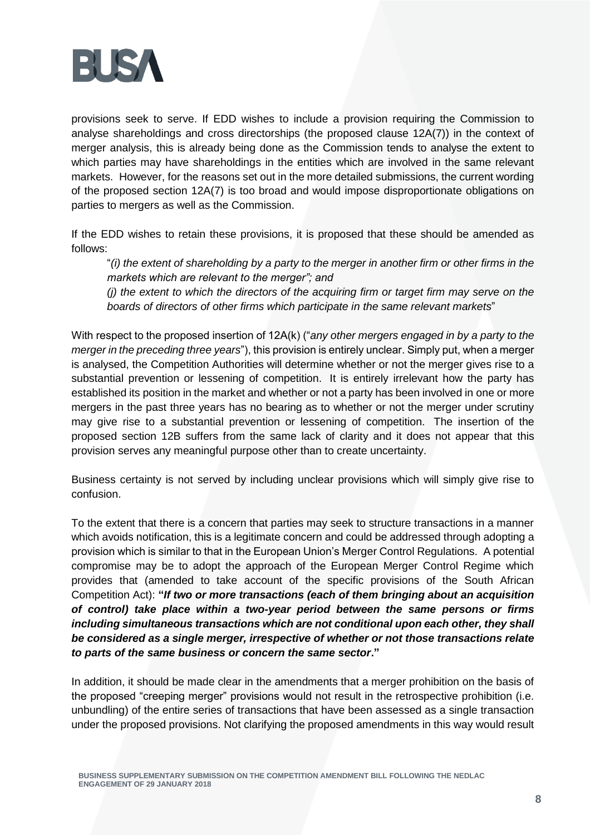

provisions seek to serve. If EDD wishes to include a provision requiring the Commission to analyse shareholdings and cross directorships (the proposed clause 12A(7)) in the context of merger analysis, this is already being done as the Commission tends to analyse the extent to which parties may have shareholdings in the entities which are involved in the same relevant markets. However, for the reasons set out in the more detailed submissions, the current wording of the proposed section 12A(7) is too broad and would impose disproportionate obligations on parties to mergers as well as the Commission.

If the EDD wishes to retain these provisions, it is proposed that these should be amended as follows:

"*(i) the extent of shareholding by a party to the merger in another firm or other firms in the markets which are relevant to the merger"; and*

*(j) the extent to which the directors of the acquiring firm or target firm may serve on the boards of directors of other firms which participate in the same relevant markets*"

With respect to the proposed insertion of 12A(k) ("*any other mergers engaged in by a party to the merger in the preceding three years*"), this provision is entirely unclear. Simply put, when a merger is analysed, the Competition Authorities will determine whether or not the merger gives rise to a substantial prevention or lessening of competition. It is entirely irrelevant how the party has established its position in the market and whether or not a party has been involved in one or more mergers in the past three years has no bearing as to whether or not the merger under scrutiny may give rise to a substantial prevention or lessening of competition. The insertion of the proposed section 12B suffers from the same lack of clarity and it does not appear that this provision serves any meaningful purpose other than to create uncertainty.

Business certainty is not served by including unclear provisions which will simply give rise to confusion.

To the extent that there is a concern that parties may seek to structure transactions in a manner which avoids notification, this is a legitimate concern and could be addressed through adopting a provision which is similar to that in the European Union's Merger Control Regulations. A potential compromise may be to adopt the approach of the European Merger Control Regime which provides that (amended to take account of the specific provisions of the South African Competition Act): **"***If two or more transactions (each of them bringing about an acquisition of control) take place within a two-year period between the same persons or firms including simultaneous transactions which are not conditional upon each other, they shall be considered as a single merger, irrespective of whether or not those transactions relate to parts of the same business or concern the same sector***."**

In addition, it should be made clear in the amendments that a merger prohibition on the basis of the proposed "creeping merger" provisions would not result in the retrospective prohibition (i.e. unbundling) of the entire series of transactions that have been assessed as a single transaction under the proposed provisions. Not clarifying the proposed amendments in this way would result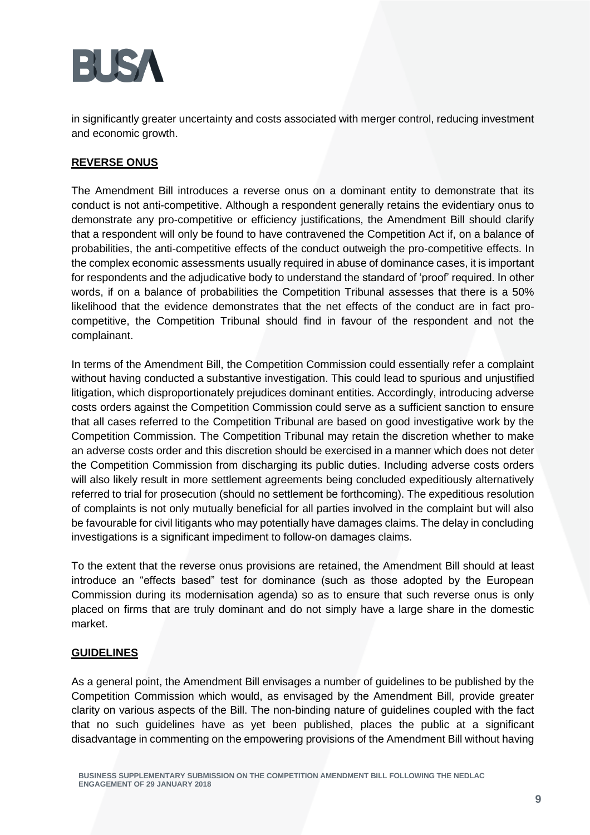

in significantly greater uncertainty and costs associated with merger control, reducing investment and economic growth.

## **REVERSE ONUS**

The Amendment Bill introduces a reverse onus on a dominant entity to demonstrate that its conduct is not anti-competitive. Although a respondent generally retains the evidentiary onus to demonstrate any pro-competitive or efficiency justifications, the Amendment Bill should clarify that a respondent will only be found to have contravened the Competition Act if, on a balance of probabilities, the anti-competitive effects of the conduct outweigh the pro-competitive effects. In the complex economic assessments usually required in abuse of dominance cases, it is important for respondents and the adjudicative body to understand the standard of 'proof' required. In other words, if on a balance of probabilities the Competition Tribunal assesses that there is a 50% likelihood that the evidence demonstrates that the net effects of the conduct are in fact procompetitive, the Competition Tribunal should find in favour of the respondent and not the complainant.

In terms of the Amendment Bill, the Competition Commission could essentially refer a complaint without having conducted a substantive investigation. This could lead to spurious and unjustified litigation, which disproportionately prejudices dominant entities. Accordingly, introducing adverse costs orders against the Competition Commission could serve as a sufficient sanction to ensure that all cases referred to the Competition Tribunal are based on good investigative work by the Competition Commission. The Competition Tribunal may retain the discretion whether to make an adverse costs order and this discretion should be exercised in a manner which does not deter the Competition Commission from discharging its public duties. Including adverse costs orders will also likely result in more settlement agreements being concluded expeditiously alternatively referred to trial for prosecution (should no settlement be forthcoming). The expeditious resolution of complaints is not only mutually beneficial for all parties involved in the complaint but will also be favourable for civil litigants who may potentially have damages claims. The delay in concluding investigations is a significant impediment to follow-on damages claims.

To the extent that the reverse onus provisions are retained, the Amendment Bill should at least introduce an "effects based" test for dominance (such as those adopted by the European Commission during its modernisation agenda) so as to ensure that such reverse onus is only placed on firms that are truly dominant and do not simply have a large share in the domestic market.

### **GUIDELINES**

As a general point, the Amendment Bill envisages a number of guidelines to be published by the Competition Commission which would, as envisaged by the Amendment Bill, provide greater clarity on various aspects of the Bill. The non-binding nature of guidelines coupled with the fact that no such guidelines have as yet been published, places the public at a significant disadvantage in commenting on the empowering provisions of the Amendment Bill without having